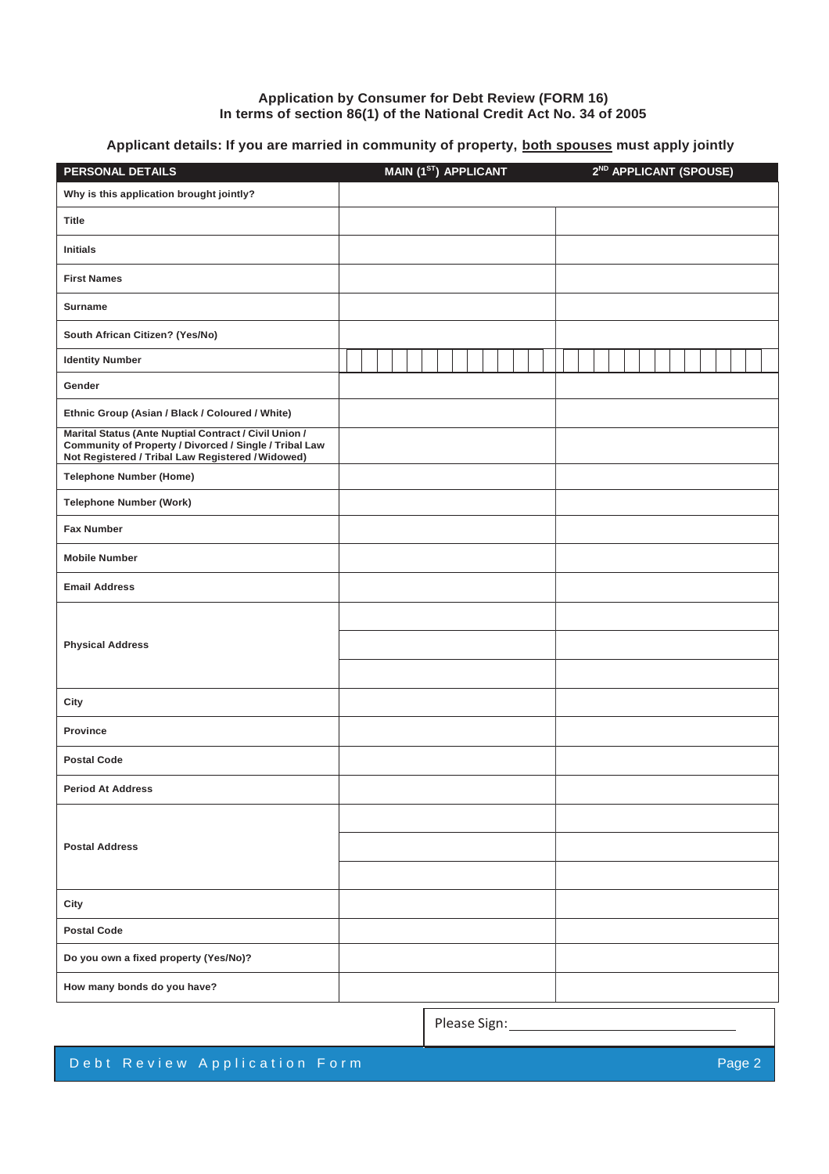## **Application by Consumer for Debt Review (FORM 16) In terms of section 86(1) of the National Credit Act No. 34 of 2005**

# **Applicant details: If you are married in community of property, both spouses must apply jointly**

| PERSONAL DETAILS                                                                                                                                                     | MAIN (1 <sup>ST</sup> ) APPLICANT | 2 <sup>ND</sup> APPLICANT (SPOUSE) |
|----------------------------------------------------------------------------------------------------------------------------------------------------------------------|-----------------------------------|------------------------------------|
| Why is this application brought jointly?                                                                                                                             |                                   |                                    |
| <b>Title</b>                                                                                                                                                         |                                   |                                    |
| <b>Initials</b>                                                                                                                                                      |                                   |                                    |
| <b>First Names</b>                                                                                                                                                   |                                   |                                    |
| <b>Surname</b>                                                                                                                                                       |                                   |                                    |
| South African Citizen? (Yes/No)                                                                                                                                      |                                   |                                    |
| <b>Identity Number</b>                                                                                                                                               |                                   |                                    |
| Gender                                                                                                                                                               |                                   |                                    |
| Ethnic Group (Asian / Black / Coloured / White)                                                                                                                      |                                   |                                    |
| Marital Status (Ante Nuptial Contract / Civil Union /<br>Community of Property / Divorced / Single / Tribal Law<br>Not Registered / Tribal Law Registered / Widowed) |                                   |                                    |
| <b>Telephone Number (Home)</b>                                                                                                                                       |                                   |                                    |
| <b>Telephone Number (Work)</b>                                                                                                                                       |                                   |                                    |
| <b>Fax Number</b>                                                                                                                                                    |                                   |                                    |
| <b>Mobile Number</b>                                                                                                                                                 |                                   |                                    |
| <b>Email Address</b>                                                                                                                                                 |                                   |                                    |
|                                                                                                                                                                      |                                   |                                    |
| <b>Physical Address</b>                                                                                                                                              |                                   |                                    |
|                                                                                                                                                                      |                                   |                                    |
| City                                                                                                                                                                 |                                   |                                    |
| <b>Province</b>                                                                                                                                                      |                                   |                                    |
| <b>Postal Code</b>                                                                                                                                                   |                                   |                                    |
| <b>Period At Address</b>                                                                                                                                             |                                   |                                    |
|                                                                                                                                                                      |                                   |                                    |
| <b>Postal Address</b>                                                                                                                                                |                                   |                                    |
|                                                                                                                                                                      |                                   |                                    |
| City                                                                                                                                                                 |                                   |                                    |
| <b>Postal Code</b>                                                                                                                                                   |                                   |                                    |
| Do you own a fixed property (Yes/No)?                                                                                                                                |                                   |                                    |
| How many bonds do you have?                                                                                                                                          |                                   |                                    |

Please Sign:

# Debt Review Application Form and the set of the set of the Page 2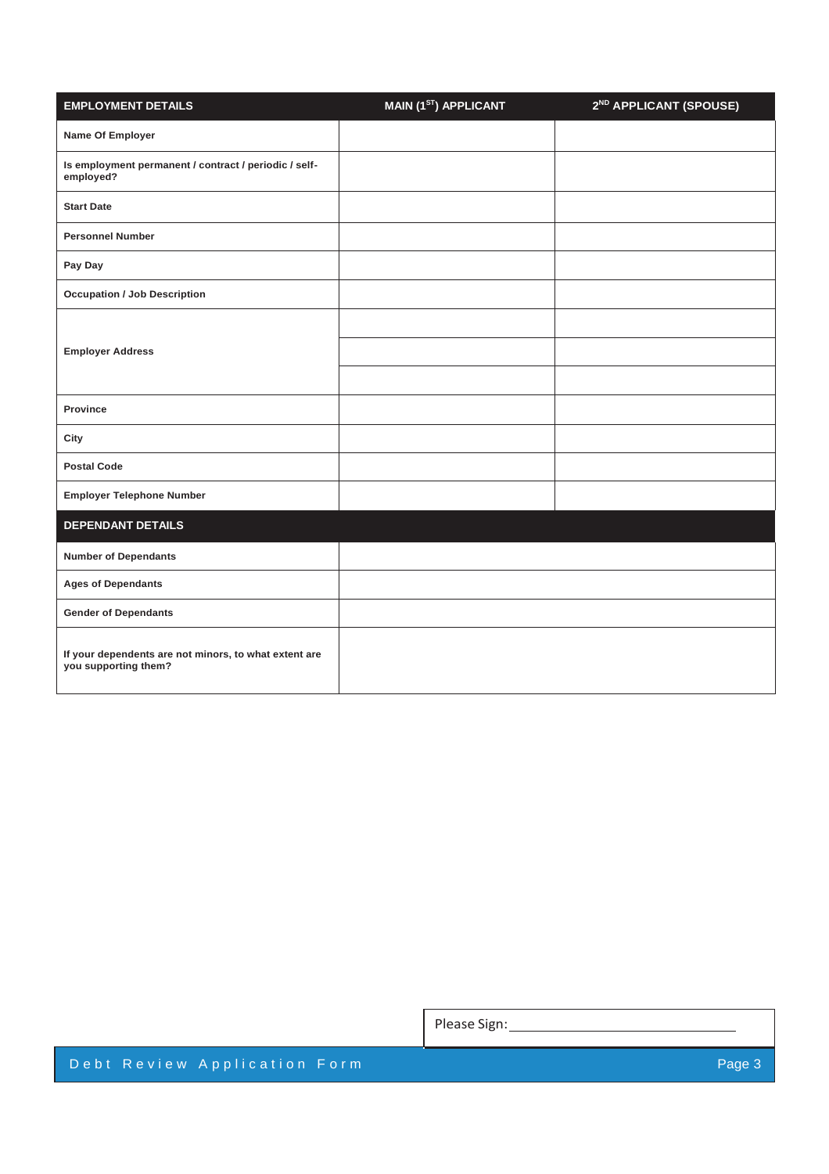| <b>EMPLOYMENT DETAILS</b>                                                     | MAIN (1 <sup>ST</sup> ) APPLICANT | 2 <sup>ND</sup> APPLICANT (SPOUSE) |
|-------------------------------------------------------------------------------|-----------------------------------|------------------------------------|
| Name Of Employer                                                              |                                   |                                    |
| Is employment permanent / contract / periodic / self-<br>employed?            |                                   |                                    |
| <b>Start Date</b>                                                             |                                   |                                    |
| <b>Personnel Number</b>                                                       |                                   |                                    |
| Pay Day                                                                       |                                   |                                    |
| <b>Occupation / Job Description</b>                                           |                                   |                                    |
|                                                                               |                                   |                                    |
| <b>Employer Address</b>                                                       |                                   |                                    |
|                                                                               |                                   |                                    |
| Province                                                                      |                                   |                                    |
| City                                                                          |                                   |                                    |
| <b>Postal Code</b>                                                            |                                   |                                    |
| <b>Employer Telephone Number</b>                                              |                                   |                                    |
| <b>DEPENDANT DETAILS</b>                                                      |                                   |                                    |
| <b>Number of Dependants</b>                                                   |                                   |                                    |
| <b>Ages of Dependants</b>                                                     |                                   |                                    |
| <b>Gender of Dependants</b>                                                   |                                   |                                    |
| If your dependents are not minors, to what extent are<br>you supporting them? |                                   |                                    |

Please Sign:

De bt Review Application Form and the second service of the service of the Page 3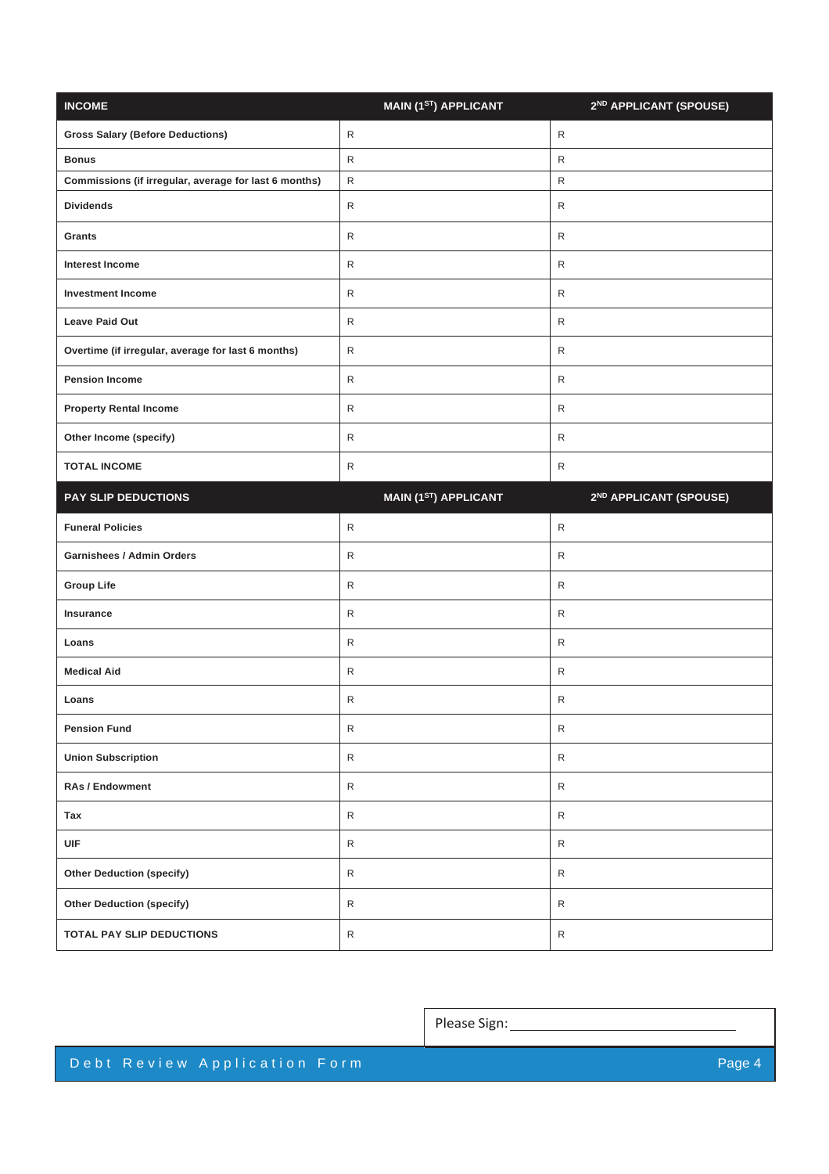| <b>INCOME</b>                                         | MAIN (1 <sup>ST</sup> ) APPLICANT | 2ND APPLICANT (SPOUSE) |
|-------------------------------------------------------|-----------------------------------|------------------------|
| <b>Gross Salary (Before Deductions)</b>               | ${\sf R}$                         | R                      |
| <b>Bonus</b>                                          | ${\sf R}$                         | $\mathsf{R}$           |
| Commissions (if irregular, average for last 6 months) | ${\sf R}$                         | ${\sf R}$              |
| <b>Dividends</b>                                      | ${\sf R}$                         | $\mathsf{R}$           |
| Grants                                                | R                                 | $\mathsf{R}$           |
| <b>Interest Income</b>                                | R                                 | R                      |
| <b>Investment Income</b>                              | ${\sf R}$                         | R                      |
| <b>Leave Paid Out</b>                                 | R                                 | $\mathsf{R}$           |
| Overtime (if irregular, average for last 6 months)    | R                                 | R                      |
| <b>Pension Income</b>                                 | R                                 | R                      |
| <b>Property Rental Income</b>                         | ${\sf R}$                         | R                      |
| Other Income (specify)                                | R                                 | R                      |
| <b>TOTAL INCOME</b>                                   | R                                 | $\mathsf{R}$           |
| <b>PAY SLIP DEDUCTIONS</b>                            | MAIN (1ST) APPLICANT              | 2ND APPLICANT (SPOUSE) |
| <b>Funeral Policies</b>                               | ${\sf R}$                         | R                      |
|                                                       |                                   |                        |
| <b>Garnishees / Admin Orders</b>                      | R                                 | $\mathsf{R}$           |
| <b>Group Life</b>                                     | R                                 | R                      |
| Insurance                                             | ${\sf R}$                         | $\mathsf{R}$           |
| Loans                                                 | ${\sf R}$                         | ${\sf R}$              |
| <b>Medical Aid</b>                                    | R                                 | $\mathsf{R}$           |
| Loans                                                 | R                                 | R                      |
| <b>Pension Fund</b>                                   | R                                 | $\mathsf{R}$           |
| <b>Union Subscription</b>                             | ${\sf R}$                         | $\mathsf{R}$           |
| <b>RAs / Endowment</b>                                | ${\sf R}$                         | $\mathsf{R}$           |
| Tax                                                   | ${\sf R}$                         | $\mathsf{R}$           |
| UIF                                                   | ${\sf R}$                         | ${\sf R}$              |
| <b>Other Deduction (specify)</b>                      | $\mathsf{R}$                      | $\mathsf{R}$           |
| <b>Other Deduction (specify)</b>                      | ${\sf R}$                         | $\mathsf{R}$           |

Please Sign:

# De bt Review Application Form entertainment of the state of the Page 4

 $\overline{\phantom{0}}$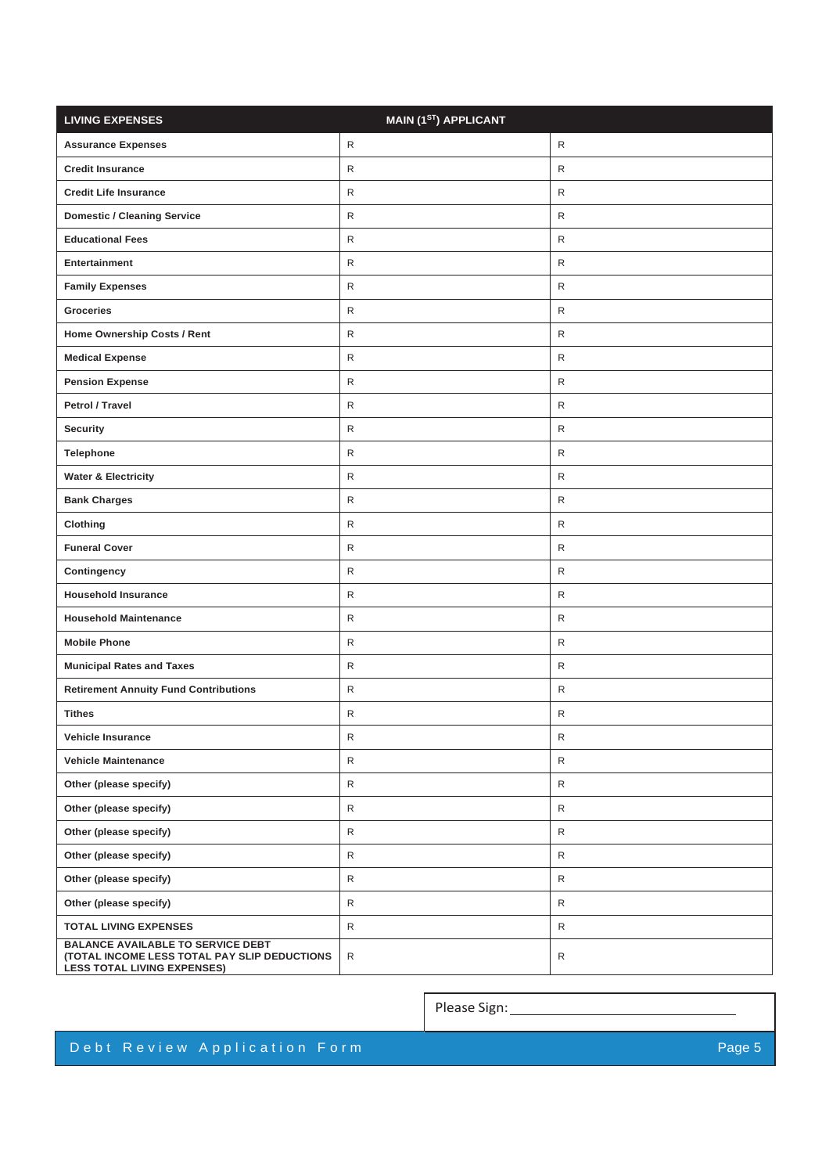| <b>LIVING EXPENSES</b><br>MAIN (1ST) APPLICANT                                                                                 |              |              |  |  |
|--------------------------------------------------------------------------------------------------------------------------------|--------------|--------------|--|--|
| <b>Assurance Expenses</b>                                                                                                      | $\mathsf{R}$ | R            |  |  |
| <b>Credit Insurance</b>                                                                                                        | $\mathsf{R}$ | R            |  |  |
| <b>Credit Life Insurance</b>                                                                                                   | R            | R            |  |  |
| <b>Domestic / Cleaning Service</b>                                                                                             | $\mathsf{R}$ | R            |  |  |
| <b>Educational Fees</b>                                                                                                        | $\mathsf{R}$ | R            |  |  |
| <b>Entertainment</b>                                                                                                           | $\mathsf R$  | R            |  |  |
| <b>Family Expenses</b>                                                                                                         | R            | R            |  |  |
| <b>Groceries</b>                                                                                                               | R            | R            |  |  |
| Home Ownership Costs / Rent                                                                                                    | ${\sf R}$    | R            |  |  |
| <b>Medical Expense</b>                                                                                                         | $\mathsf R$  | R            |  |  |
| <b>Pension Expense</b>                                                                                                         | $\mathsf{R}$ | R            |  |  |
| Petrol / Travel                                                                                                                | $\mathsf{R}$ | R            |  |  |
| <b>Security</b>                                                                                                                | R            | R            |  |  |
| <b>Telephone</b>                                                                                                               | $\mathsf{R}$ | R            |  |  |
| <b>Water &amp; Electricity</b>                                                                                                 | R            | R            |  |  |
| <b>Bank Charges</b>                                                                                                            | $\mathsf{R}$ | R            |  |  |
| Clothing                                                                                                                       | $\mathsf{R}$ | R            |  |  |
| <b>Funeral Cover</b>                                                                                                           | $\mathsf R$  | R            |  |  |
| Contingency                                                                                                                    | $\mathsf{R}$ | R            |  |  |
| <b>Household Insurance</b>                                                                                                     | $\mathsf R$  | R            |  |  |
| <b>Household Maintenance</b>                                                                                                   | $\mathsf R$  | R            |  |  |
| <b>Mobile Phone</b>                                                                                                            | $\mathsf{R}$ | R            |  |  |
| <b>Municipal Rates and Taxes</b>                                                                                               | $\mathsf{R}$ | R            |  |  |
| <b>Retirement Annuity Fund Contributions</b>                                                                                   | $\mathsf R$  | R            |  |  |
| <b>Tithes</b>                                                                                                                  | R            | R            |  |  |
| Vehicle Insurance                                                                                                              | ${\sf R}$    | R            |  |  |
| <b>Vehicle Maintenance</b>                                                                                                     | $\mathsf{R}$ | $\mathsf{R}$ |  |  |
| Other (please specify)                                                                                                         | $\mathsf{R}$ | $\mathsf{R}$ |  |  |
| Other (please specify)                                                                                                         | $\mathsf{R}$ | ${\sf R}$    |  |  |
| Other (please specify)                                                                                                         | $\mathsf{R}$ | $\mathsf{R}$ |  |  |
| Other (please specify)                                                                                                         | $\mathsf{R}$ | ${\sf R}$    |  |  |
| Other (please specify)                                                                                                         | $\mathsf{R}$ | $\mathsf{R}$ |  |  |
| Other (please specify)                                                                                                         | $\mathsf{R}$ | $\mathsf{R}$ |  |  |
| <b>TOTAL LIVING EXPENSES</b>                                                                                                   | $\mathsf{R}$ | ${\sf R}$    |  |  |
| <b>BALANCE AVAILABLE TO SERVICE DEBT</b><br>(TOTAL INCOME LESS TOTAL PAY SLIP DEDUCTIONS<br><b>LESS TOTAL LIVING EXPENSES)</b> | R            | R            |  |  |

Please Sign:

# De bt Review Application Form entertainment of the state of the Page 5

 $\overline{\phantom{0}}$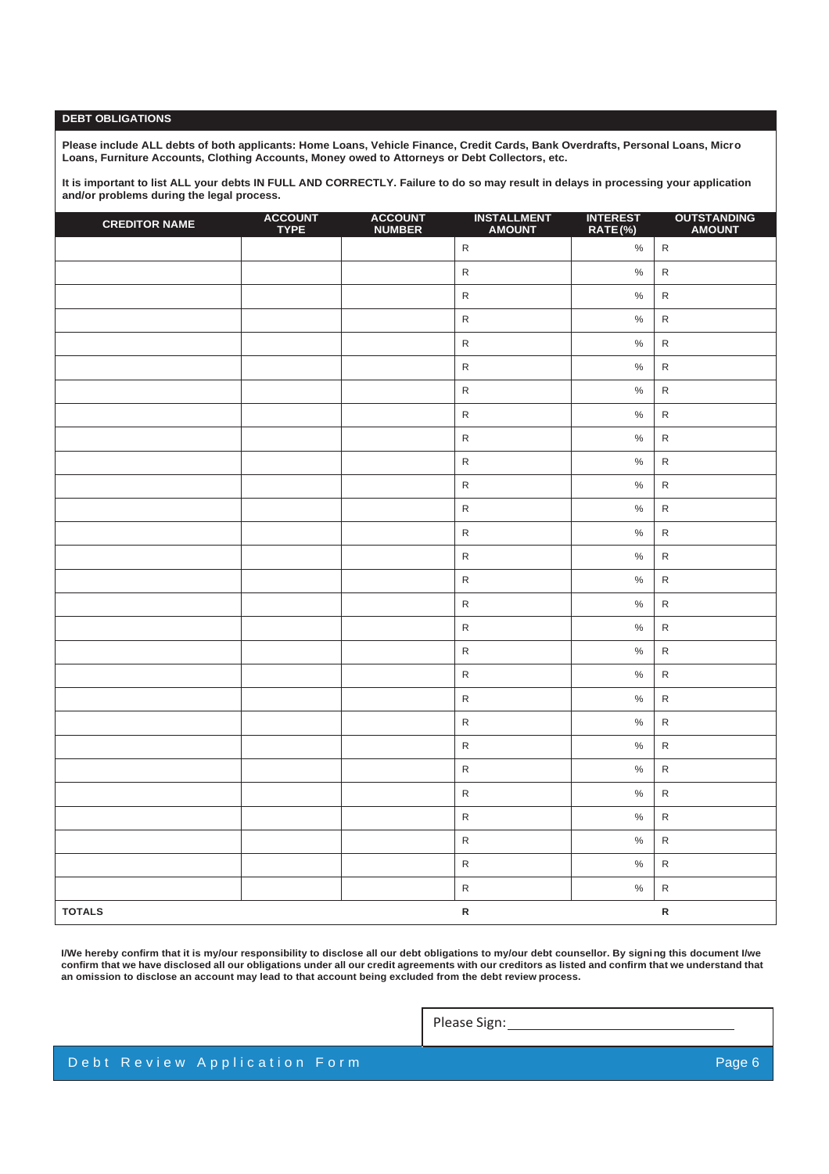### **DEBT OBLIGATIONS**

**Please include ALL debts of both applicants: Home Loans, Vehicle Finance, Credit Cards, Bank Overdrafts, Personal Loans, Micro Loans, Furniture Accounts, Clothing Accounts, Money owed to Attorneys or Debt Collectors, etc.**

**It is important to list ALL your debts IN FULL AND CORRECTLY. Failure to do so may result in delays in processing your application and/or problems during the legal process.**

| <b>CREDITOR NAME</b> | ACCOUNT<br>TYPE | <b>ACCOUNT</b><br><b>NUMBER</b> | <b>INSTALLMENT</b><br><b>AMOUNT</b> | <b>INTEREST</b><br>RATE(%) | <b>OUTSTANDING</b><br><b>AMOUNT</b> |
|----------------------|-----------------|---------------------------------|-------------------------------------|----------------------------|-------------------------------------|
|                      |                 |                                 | $\mathsf{R}$                        | $\%$                       | $\mathsf{R}$                        |
|                      |                 |                                 | $\mathsf{R}$                        | $\%$                       | $\mathsf{R}$                        |
|                      |                 |                                 | ${\sf R}$                           | $\%$                       | ${\sf R}$                           |
|                      |                 |                                 | $\mathsf{R}$                        | $\%$                       | $\mathsf{R}$                        |
|                      |                 |                                 | ${\sf R}$                           | $\%$                       | ${\sf R}$                           |
|                      |                 |                                 | $\mathsf{R}$                        | $\%$                       | $\mathsf{R}$                        |
|                      |                 |                                 | $\mathsf{R}$                        | $\%$                       | $\mathsf{R}$                        |
|                      |                 |                                 | ${\sf R}$                           | $\%$                       | ${\sf R}$                           |
|                      |                 |                                 | $\mathsf{R}$                        | $\%$                       | R                                   |
|                      |                 |                                 | $\mathsf{R}$                        | $\%$                       | $\mathsf{R}$                        |
|                      |                 |                                 | ${\sf R}$                           | $\%$                       | ${\sf R}$                           |
|                      |                 |                                 | $\mathsf{R}$                        | $\%$                       | $\mathsf{R}$                        |
|                      |                 |                                 | $\mathsf{R}$                        | $\%$                       | $\mathsf{R}$                        |
|                      |                 |                                 | ${\sf R}$                           | $\%$                       | ${\sf R}$                           |
|                      |                 |                                 | $\mathsf{R}$                        | $\%$                       | $\mathsf{R}$                        |
|                      |                 |                                 | ${\sf R}$                           | $\%$                       | $\mathsf{R}$                        |
|                      |                 |                                 | ${\sf R}$                           | $\%$                       | ${\sf R}$                           |
|                      |                 |                                 | $\mathsf{R}$                        | $\%$                       | $\mathsf{R}$                        |
|                      |                 |                                 | ${\sf R}$                           | $\%$                       | $\mathsf{R}$                        |
|                      |                 |                                 | $\mathsf{R}$                        | $\%$                       | $\mathsf{R}$                        |
|                      |                 |                                 | $\mathsf{R}$                        | $\%$                       | $\mathsf{R}$                        |
|                      |                 |                                 | ${\sf R}$                           | $\%$                       | ${\sf R}$                           |
|                      |                 |                                 | $\mathsf{R}$                        | $\%$                       | R                                   |
|                      |                 |                                 | ${\sf R}$                           | $\%$                       | ${\sf R}$                           |
|                      |                 |                                 | ${\sf R}$                           | $\%$                       | ${\sf R}$                           |
|                      |                 |                                 | ${\sf R}$                           | $\%$                       | ${\sf R}$                           |
|                      |                 |                                 | ${\sf R}$                           | $\%$                       | $\mathsf{R}$                        |
|                      |                 |                                 | $\mathsf{R}$                        | $\%$                       | R                                   |
| <b>TOTALS</b>        |                 |                                 | ${\sf R}$                           |                            | ${\sf R}$                           |

**I/We hereby confirm that it is my/our responsibility to disclose all our debt obligations to my/our debt counsellor. By signing this document I/we**  confirm that we have disclosed all our obligations under all our credit agreements with our creditors as listed and confirm that we understand that **an omission to disclose an account may lead to that account being excluded from the debt review process.**

Please Sign:

# Debt Review Application Form and the second service of the Page 6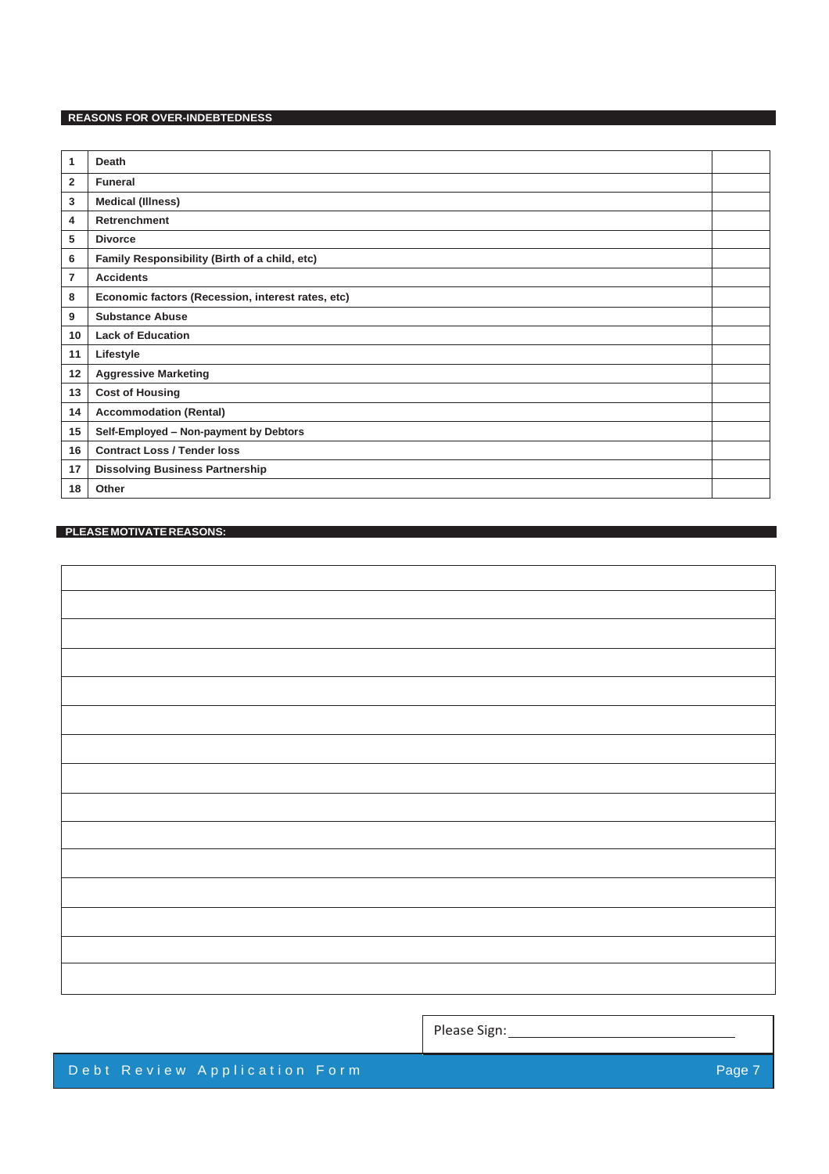# **REASONS FOR OVER-INDEBTEDNESS**

| 1              | <b>Death</b>                                      |  |
|----------------|---------------------------------------------------|--|
| $\overline{2}$ | <b>Funeral</b>                                    |  |
| 3              | <b>Medical (Illness)</b>                          |  |
| 4              | Retrenchment                                      |  |
| 5              | <b>Divorce</b>                                    |  |
| 6              | Family Responsibility (Birth of a child, etc)     |  |
| 7              | <b>Accidents</b>                                  |  |
| 8              | Economic factors (Recession, interest rates, etc) |  |
| 9              | <b>Substance Abuse</b>                            |  |
| 10             | <b>Lack of Education</b>                          |  |
| 11             | Lifestyle                                         |  |
| 12             | <b>Aggressive Marketing</b>                       |  |
| 13             | <b>Cost of Housing</b>                            |  |
| 14             | <b>Accommodation (Rental)</b>                     |  |
| 15             | Self-Employed - Non-payment by Debtors            |  |
| 16             | <b>Contract Loss / Tender loss</b>                |  |
| 17             | <b>Dissolving Business Partnership</b>            |  |
| 18             | Other                                             |  |

## **PLEASEMOTIVATEREASONS:**

Please Sign:

De b t R e view Application Form entrance and the second control of the Page 7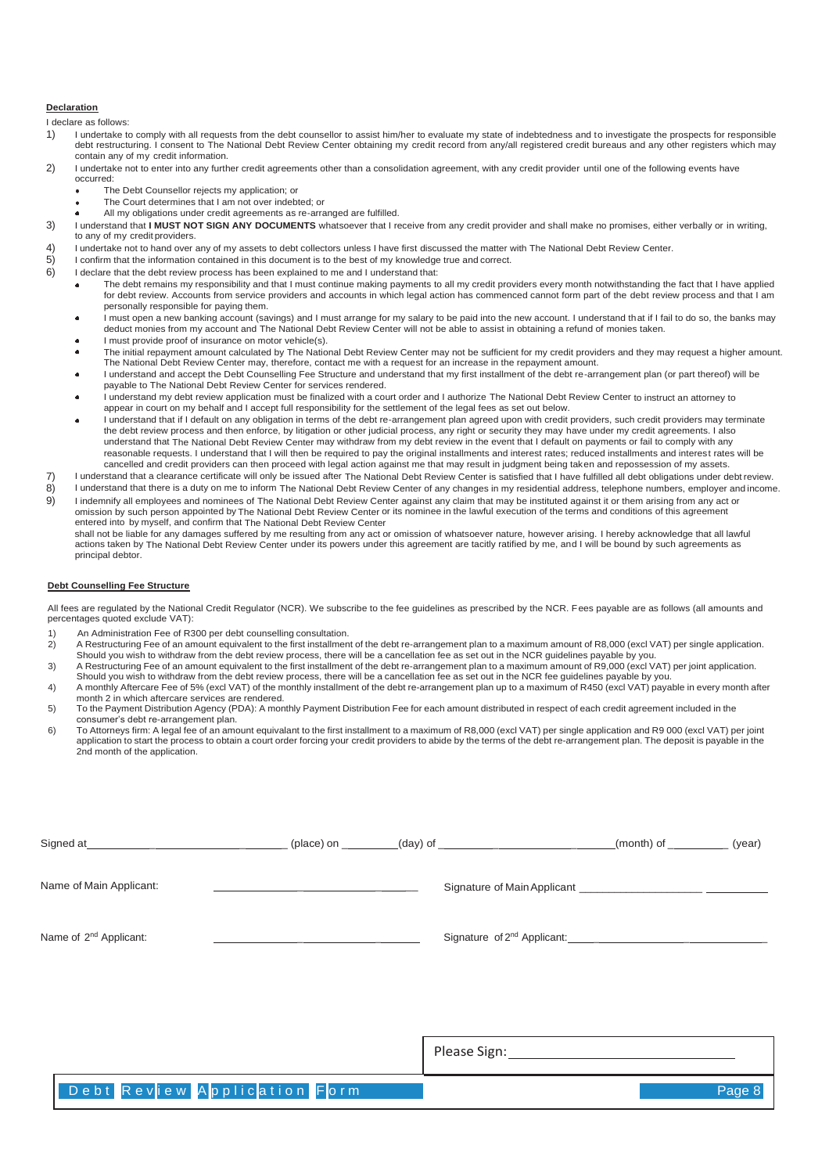#### **Declaration**

I declare as follows:

- 1) I undertake to comply with all requests from the debt counsellor to assist him/her to evaluate my state of indebtedness and to investigate the prospects for responsible debt restructuring. I consent to The National Debt Review Center obtaining my credit record from any/all registered credit bureaus and any other registers which may contain any of my credit information.
- 2) I undertake not to enter into any further credit agreements other than a consolidation agreement, with any credit provider until one of the following events have occurred:
	- The Debt Counsellor rejects my application; or
	- The Court determines that I am not over indebted; or
	- All my obligations under credit agreements as re-arranged are fulfilled.
- 3) I understand that **I MUST NOT SIGN ANY DOCUMENTS** whatsoever that I receive from any credit provider and shall make no promises, either verbally or in writing, to any of my credit providers.
- 4) I undertake not to hand over any of my assets to debt collectors unless I have first discussed the matter with The National Debt Review Center.
- 5) I confirm that the information contained in this document is to the best of my knowledge true and correct.
- 6) I declare that the debt review process has been explained to me and I understand that:
	- The debt remains my responsibility and that I must continue making payments to all my credit providers every month notwithstanding the fact that I have applied for debt review. Accounts from service providers and accounts in which legal action has commenced cannot form part of the debt review process and that I am personally responsible for paying them.
	- l must open a new banking account (savings) and I must arrange for my salary to be paid into the new account. I understand that if I fail to do so, the banks may<br>deduct monies from my account and The National Debt Review C
	- I must provide proof of insurance on motor vehicle(s).
	- The initial repayment amount calculated by The National Debt Review Center may not be sufficient for my credit providers and they may request a higher amount. The National Debt Review Center may, therefore, contact me with a request for an increase in the repayment amount.
	- I understand and accept the Debt Counselling Fee Structure and understand that my first installment of the debt re-arrangement plan (or part thereof) will be payable to The National Debt Review Center for services rendered.
	- I understand my debt review application must be finalized with a court order and I authorize The National Debt Review Center to instruct an attorney to appear in court on my behalf and I accept full responsibility for the settlement of the legal fees as set out below.
	- I understand that if I default on any obligation in terms of the debt re-arrangement plan agreed upon with credit providers, such credit providers may terminate the debt review process and then enforce, by litigation or other judicial process, any right or security they may have under my credit agreements. I also understand that The National Debt Review Center may withdraw from my debt review in the event that I default on payments or fail to comply with any reasonable requests. I understand that I will then be required to pay the original installments and interest rates; reduced installments and interest rates will be cancelled and credit providers can then proceed with legal action against me that may result in judgment being taken and repossession of my assets.
- 7) I understand that a clearance certificate will only be issued after The National Debt Review Center is satisfied that I have fulfilled all debt obligations under debt review.<br>8) I understand that there is a duty on me t
- 8) I understand that there is a duty on me to inform The National Debt Review Center of any changes in my residential address, telephone numbers, employer and income.<br>9) I indemnify all employees and nominees of The Nation I indemnify all employees and nominees of The National Debt Review Center against any claim that may be instituted against it or them arising from any act or omission by such person appointed by The National Debt Review Center or its nominee in the lawful execution of the terms and conditions of this agreement entered into by myself, and confirm that The National Debt Review Center shall not be liable for any damages suffered by me resulting from any act or omission of whatsoever nature, however arising. I hereby acknowledge that all lawful<br>actions taken by The National Debt Review Center under its p principal debtor.

#### **Debt Counselling Fee Structure**

All fees are regulated by the National Credit Regulator (NCR). We subscribe to the fee guidelines as prescribed by the NCR. Fees payable are as follows (all amounts and percentages quoted exclude VAT):

1) An Administration Fee of R300 per debt counselling consultation.<br>2) A Restructuring Fee of an amount equivalent to the first installmen

D e b t R e v i e w A p p l i c a tion F o r m

- 2) A Restructuring Fee of an amount equivalent to the first installment of the debt re-arrangement plan to a maximum amount of R8,000 (excl VAT) per single application.
- Should you wish to withdraw from the debt review process, there will be a cancellation fee as set out in the NCR guidelines payable by you.<br>3) A Restructuring Fee of an amount equivalent to the first installment of the deb Should you wish to withdraw from the debt review process, there will be a cancellation fee as set out in the NCR fee guidelines payable by you.
- 4) A monthly Aftercare Fee of 5% (excl VAT) of the monthly installment of the debt re-arrangement plan up to a maximum of R450 (excl VAT) payable in every month after month 2 in which aftercare services are rendered.
- 5) To the Payment Distribution Agency (PDA): A monthly Payment Distribution Fee for each amount distributed in respect of each credit agreement included in the consumer's debt re-arrangement plan.
- 6) To Attorneys firm: A legal fee of an amount equivalant to the first installment to a maximum of R8,000 (excl VAT) per single application and R9 000 (excl VAT) per joint application to start the process to obtain a court order forcing your credit providers to abide by the terms of the debt re-arrangement plan. The deposit is payable in the 2nd month of the application.

|                                    |  | $(month)$ of $\_\_\_\_\_\_$ (year) |  |
|------------------------------------|--|------------------------------------|--|
| Name of Main Applicant:            |  |                                    |  |
| Name of 2 <sup>nd</sup> Applicant: |  |                                    |  |
|                                    |  |                                    |  |

| Please Sign: |  |        |
|--------------|--|--------|
|              |  | Page 8 |